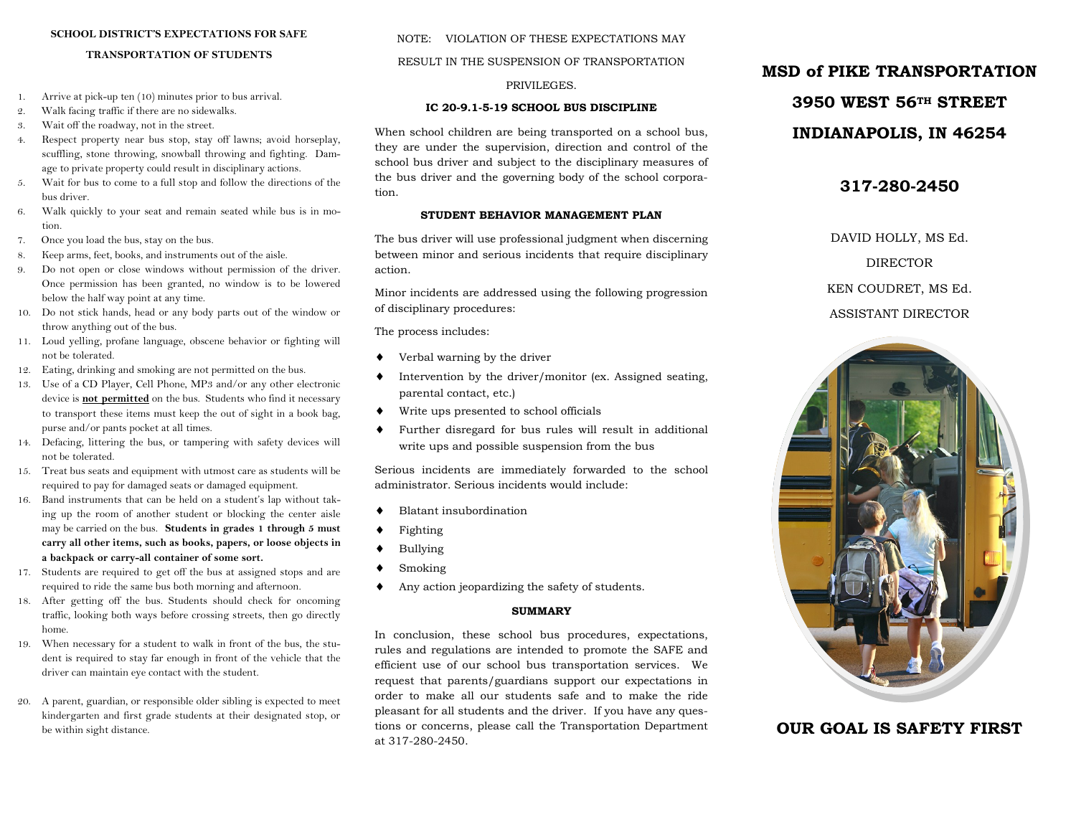#### **SCHOOL DISTRICT'S EXPECTATIONS FOR SAFE**

#### **TRANSPORTATION OF STUDENTS**

- 1. Arrive at pick-up ten (10) minutes prior to bus arrival.
- 2. Walk facing traffic if there are no sidewalks.
- 3. Wait off the roadway, not in the street.
- 4. Respect property near bus stop, stay off lawns; avoid horseplay, scuffling, stone throwing, snowball throwing and fighting. Damage to private property could result in disciplinary actions.
- 5. Wait for bus to come to a full stop and follow the directions of the bus driver.
- 6. Walk quickly to your seat and remain seated while bus is in motion.
- 7. Once you load the bus, stay on the bus.
- 8. Keep arms, feet, books, and instruments out of the aisle.
- 9. Do not open or close windows without permission of the driver. Once permission has been granted, no window is to be lowered below the half way point at any time.
- 10. Do not stick hands, head or any body parts out of the window or throw anything out of the bus.
- 11. Loud yelling, profane language, obscene behavior or fighting will not be tolerated.
- 12. Eating, drinking and smoking are not permitted on the bus.
- 13. Use of a CD Player, Cell Phone, MP3 and/or any other electronic device is **not permitted** on the bus. Students who find it necessary to transport these items must keep the out of sight in a book bag, purse and/or pants pocket at all times.
- 14. Defacing, littering the bus, or tampering with safety devices will not be tolerated.
- 15. Treat bus seats and equipment with utmost care as students will be required to pay for damaged seats or damaged equipment.
- 16. Band instruments that can be held on a student's lap without taking up the room of another student or blocking the center aisle may be carried on the bus. **Students in grades 1 through 5 must carry all other items, such as books, papers, or loose objects in a backpack or carry-all container of some sort.**
- 17. Students are required to get off the bus at assigned stops and are required to ride the same bus both morning and afternoon.
- 18. After getting off the bus. Students should check for oncoming traffic, looking both ways before crossing streets, then go directly home.
- 19. When necessary for a student to walk in front of the bus, the student is required to stay far enough in front of the vehicle that the driver can maintain eye contact with the student.
- 20. A parent, guardian, or responsible older sibling is expected to meet kindergarten and first grade students at their designated stop, or be within sight distance.

## NOTE: VIOLATION OF THESE EXPECTATIONS MAY RESULT IN THE SUSPENSION OF TRANSPORTATION

#### PRIVILEGES.

#### **IC 20-9.1-5-19 SCHOOL BUS DISCIPLINE**

When school children are being transported on a school bus, they are under the supervision, direction and control of the school bus driver and subject to the disciplinary measures of the bus driver and the governing body of the school corporation.

#### **STUDENT BEHAVIOR MANAGEMENT PLAN**

The bus driver will use professional judgment when discerning between minor and serious incidents that require disciplinary action.

Minor incidents are addressed using the following progression of disciplinary procedures:

The process includes:

- Verbal warning by the driver
- Intervention by the driver/monitor (ex. Assigned seating, parental contact, etc.)
- Write ups presented to school officials
- Further disregard for bus rules will result in additional write ups and possible suspension from the bus

Serious incidents are immediately forwarded to the school administrator. Serious incidents would include:

- Blatant insubordination
- Fighting
- Bullying
- Smoking
- Any action jeopardizing the safety of students.

#### **SUMMARY**

In conclusion, these school bus procedures, expectations, rules and regulations are intended to promote the SAFE and efficient use of our school bus transportation services. We request that parents/guardians support our expectations in order to make all our students safe and to make the ride pleasant for all students and the driver. If you have any questions or concerns, please call the Transportation Department at 317-280-2450.

## **MSD of PIKE TRANSPORTATION**

# **3950 WEST 56TH STREET**

## **INDIANAPOLIS, IN 46254**

#### **317-280-2450**

DAVID HOLLY, MS Ed. DIRECTOR KEN COUDRET, MS Ed. ASSISTANT DIRECTOR



## **OUR GOAL IS SAFETY FIRST**